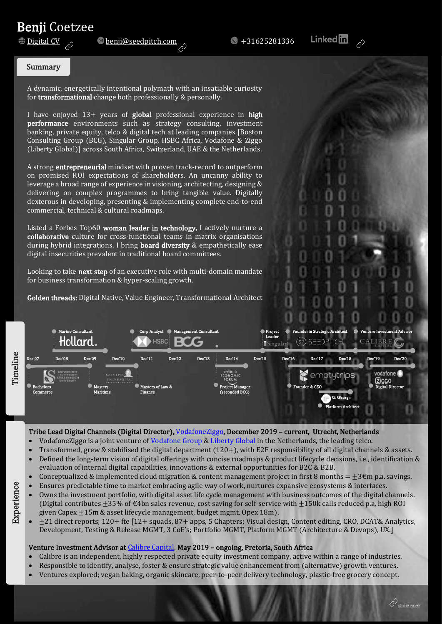# **Benji Coetzee**<br><u>Digital CV</u>

 $\bullet$  [benji@seedpitch.com](mailto:benji@seedpitch.com?subject=Benji%20CV)  $\sim$   $\bullet$  +31625281336

**Linked** in

#### Summary

A dynamic, energetically intentional polymath with an insatiable curiosity for transformational change both professionally & personally.

Consulting Group (BCG), Singular Group, HSBC Africa, Vodafone & Ziggo I have enjoyed 13+ years of global professional experience in high performance environments such as strategy consulting, investment banking, private equity, telco & digital tech at leading companies [Boston (Liberty Global)] across South Africa, Switzerland, UAE & the Netherlands.

A strong entrepreneurial mindset with proven track-record to outperform on promised ROI expectations of shareholders. An uncanny ability to leverage a broad range of experience in visioning, architecting, designing & delivering on complex programmes to bring tangible value. Digitally dexterous in developing, presenting & implementing complete end-to-end commercial, technical & cultural roadmaps.

Listed a Forbes Top60 woman leader in technology, I actively nurture a collaborative culture for cross-functional teams in matrix organisations during hybrid integrations. I bring board diversity & empathetically ease digital insecurities prevalent in traditional board committees.

Looking to take next step of an executive role with multi-domain mandate for business transformation & hyper-scaling growth.

Golden threads: Digital Native, Value Engineer, Transformational Architect



#### Tribe Lead Digital Channels (Digital Director)[, VodafoneZiggo,](https://www.vodafoneziggo.nl/) December 2019 – current, Utrecht, Netherlands

- VodafoneZiggo is a joint venture of [Vodafone Group](https://www.vodafone.com/) & [Liberty Global](https://www.libertyglobal.com/) in the Netherlands, the leading telco.
- Transformed, grew & stabilised the digital department (120+), with E2E responsibility of all digital channels & assets.
- Defined the long-term vision of digital offerings with concise roadmaps & product lifecycle decisions, i.e., identification & evaluation of internal digital capabilities, innovations & external opportunities for B2C & B2B.
- Conceptualized & implemented cloud migration & content management project in first 8 months =  $\pm 3\epsilon$ m p.a. savings.
- Ensures predictable time to market embracing agile way of work, nurtures expansive ecosystems & interfaces.
- Owns the investment portfolio, with digital asset life cycle management with business outcomes of the digital channels. (Digital contributes  $\pm 35$ % of  $\epsilon$ 4bn sales revenue, cost saving for self-service with  $\pm 150$ k calls reduced p.a, high ROI given Capex  $\pm 15$ m & asset lifecycle management, budget mgmt. Opex  $18$ m).
- $\pm$ 21 direct reports; 120+ fte [12+ squads, 87+ apps, 5 Chapters; Visual design, Content editing, CRO, DCAT& Analytics, Development, Testing & Release MGMT, 3 CoE's; Portfolio MGMT, Platform MGMT (Architecture & Devops), UX.]

#### Venture Investment Advisor at [Calibre Capital,](https://www.calibrecapital.co/) May 2019 – ongoing, Pretoria, South Africa

- Calibre is an independent, highly respected private equity investment company, active within a range of industries.
- Responsible to identify, analyse, foster & ensure strategic value enhancement from (alternative) growth ventures.
- Ventures explored; vegan baking, organic skincare, peer-to-peer delivery technology, plastic-free grocery concept.